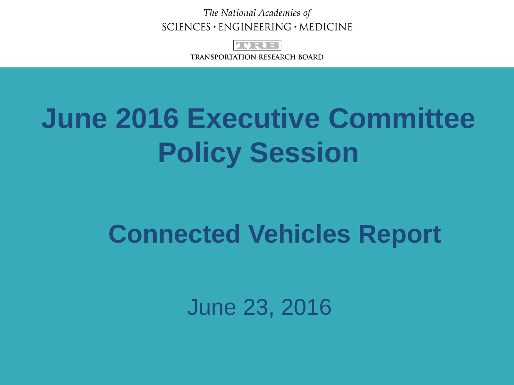The National Academies of  $SCIENCES \cdot ENGINEERING \cdot MEDICINE$ 



**TRANSPORTATION RESEARCH BOARD** 

## **June 2016 Executive Committee Policy Session**

### **Connected Vehicles Report**

June 23, 2016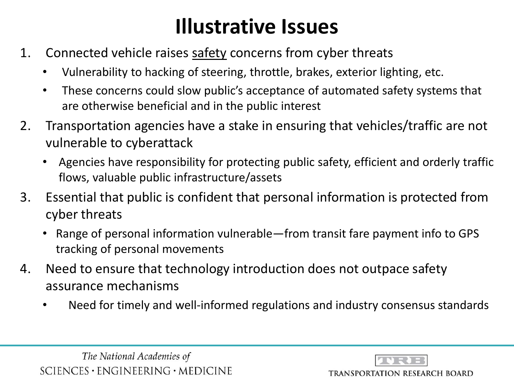#### **Illustrative Issues**

- 1. Connected vehicle raises safety concerns from cyber threats
	- Vulnerability to hacking of steering, throttle, brakes, exterior lighting, etc.
	- These concerns could slow public's acceptance of automated safety systems that are otherwise beneficial and in the public interest
- 2. Transportation agencies have a stake in ensuring that vehicles/traffic are not vulnerable to cyberattack
	- Agencies have responsibility for protecting public safety, efficient and orderly traffic flows, valuable public infrastructure/assets
- 3. Essential that public is confident that personal information is protected from cyber threats
	- Range of personal information vulnerable—from transit fare payment info to GPS tracking of personal movements
- 4. Need to ensure that technology introduction does not outpace safety assurance mechanisms
	- Need for timely and well-informed regulations and industry consensus standards



**TRANSPORTATION RESEARCH BOARD**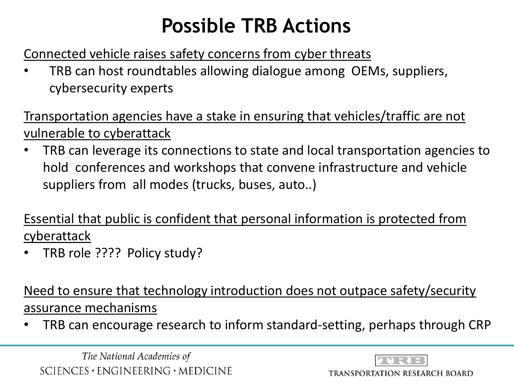#### **Possible TRB Actions**

Connected vehicle raises safety concerns from cyber threats

• TRB can host roundtables allowing dialogue among OEMs, suppliers, cybersecurity experts

Transportation agencies have a stake in ensuring that vehicles/traffic are not vulnerable to cyberattack

• TRB can leverage its connections to state and local transportation agencies to hold conferences and workshops that convene infrastructure and vehicle suppliers from all modes (trucks, buses, auto..)

Essential that public is confident that personal information is protected from cyberattack

• TRB role ???? Policy study?

Need to ensure that technology introduction does not outpace safety/security assurance mechanisms

• TRB can encourage research to inform standard-setting, perhaps through CRP

The National Academies of  $SCIENCES · ENGINEERING · MEDICINE$